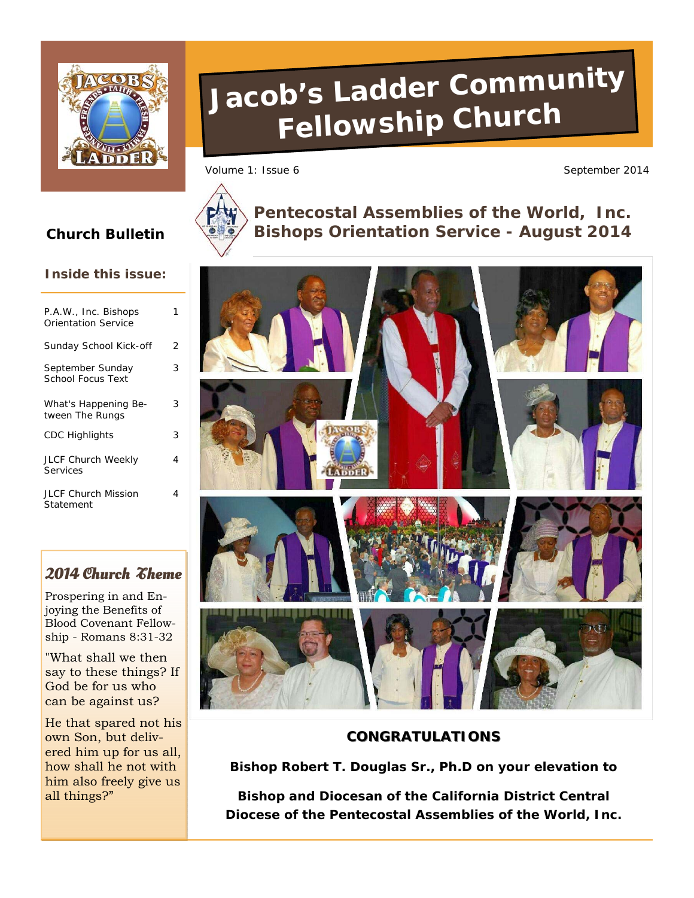

#### **Inside this issue:**

| P.A.W., Inc. Bishops<br>Orientation Service |   |
|---------------------------------------------|---|
| Sunday School Kick-off                      | 2 |
| September Sunday<br>School Focus Text       | 3 |
| What's Happening Be-<br>tween The Rungs     | 3 |
| <b>CDC Highlights</b>                       | 3 |
| <b>JLCF Church Weekly</b><br>Services       | 4 |
| <b>JLCF Church Mission</b><br>Statement     | 4 |

# **2014 Church Theme**

Prospering in and Enjoying the Benefits of Blood Covenant Fellowship - Romans 8:31-32

"What shall we then say to these things? If God be for us who can be against us?

He that spared not his own Son, but delivered him up for us all, how shall he not with him also freely give us all things?"

# **Jacob's Ladder Community Fellowship Church**

Volume 1: Issue 6 September 2014



**Pentecostal Assemblies of the World, Inc. Church Bulletin Bishops Orientation Service - August 2014** 



# **CONGRATULATIONS**

**Bishop Robert T. Douglas Sr., Ph.D on your elevation to** 

**Bishop and Diocesan of the California District Central Diocese of the Pentecostal Assemblies of the World, Inc.**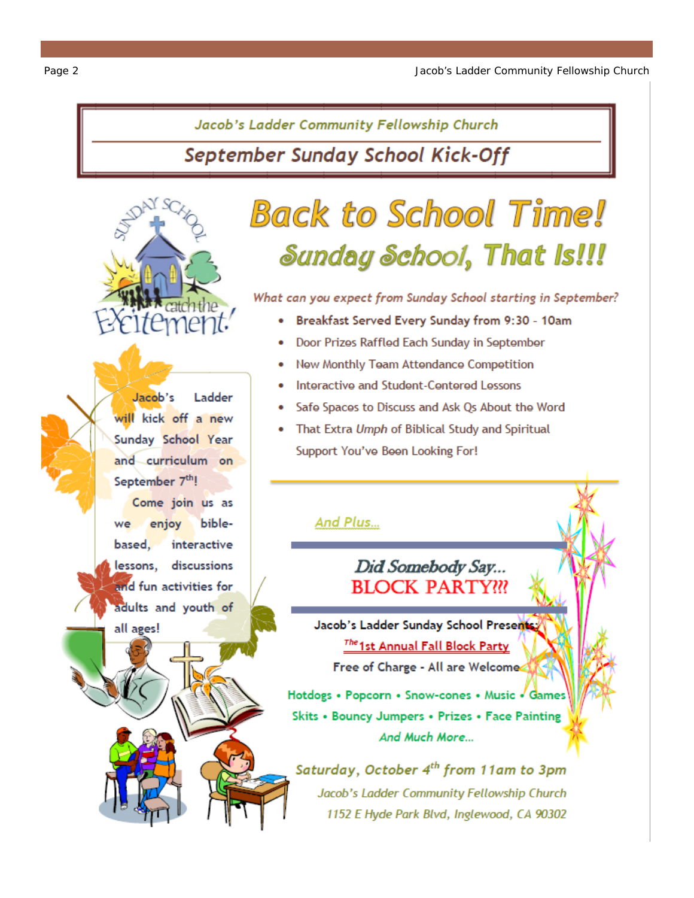Jacob's Ladder Community Fellowship Church

September Sunday School Kick-Off

Jacob's Ladder will kick off a new Sunday School Year and curriculum on September 7<sup>th</sup>! Come join us as enjoy biblewe interactive based. lessons, discussions and fun activities for adults and youth of all ages!

# **Back to School Time!** Sunday School, That Is!!!

What can you expect from Sunday School starting in September?

- Breakfast Served Every Sunday from 9:30 10am
- Door Prizes Raffled Each Sunday in September
- New Monthly Team Attendance Competition
- Interactive and Student-Centered Lessons
- Safe Spaces to Discuss and Ask Qs About the Word
- That Extra Umph of Biblical Study and Spiritual Support You've Been Looking For!

# And Plus...

# Did Somebody Say... **BLOCK PARTY!!!**

Jacob's Ladder Sunday School Presents The 1st Annual Fall Block Party Free of Charge - All are Welcome

Hotdogs • Popcorn • Snow-cones • Music • Games Skits . Bouncy Jumpers . Prizes . Face Painting And Much More...

Saturday, October 4<sup>th</sup> from 11am to 3pm Jacob's Ladder Community Fellowship Church 1152 E Hyde Park Blvd, Inglewood, CA 90302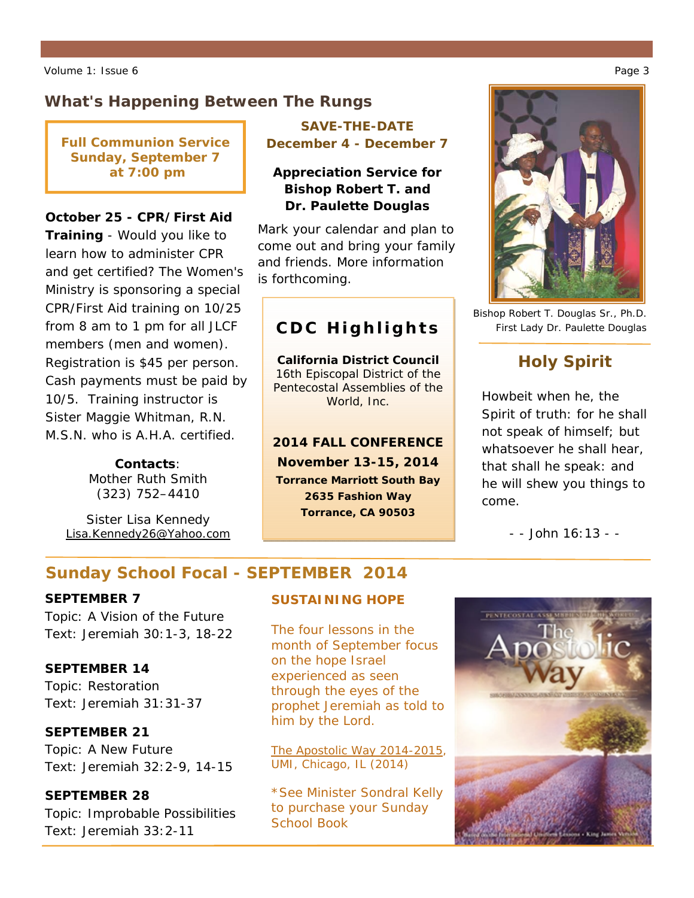# **What's Happening Between The Rungs**

**Full Communion Service Sunday, September 7 at 7:00 pm** 

#### **October 25 - CPR/First Aid**

**Training** - *Would you like to learn how to administer CPR and get certified?* The Women's Ministry is sponsoring a special CPR/First Aid training on 10/25 from 8 am to 1 pm for all JLCF members (men and women). Registration is \$45 per person. Cash payments must be paid by 10/5. Training instructor is Sister Maggie Whitman, R.N. M.S.N. who is A.H.A. certified.

> **Contacts**: Mother Ruth Smith (323) 752–4410

Sister Lisa Kennedy Lisa.Kennedy26@Yahoo.com

### **SAVE-THE-DATE December 4 - December 7**

### **Appreciation Service for Bishop Robert T. and Dr. Paulette Douglas**

Mark your calendar and plan to come out and bring your family and friends. More information is forthcoming.

# **CDC Highlights**

**California District Council**  *16th Episcopal District of the Pentecostal Assemblies of the World, Inc.* 

**2014 FALL CONFERENCE November 13-15, 2014 Torrance Marriott South Bay 2635 Fashion Way Torrance, CA 90503** 

Bishop Robert T. Douglas Sr., Ph.D. First Lady Dr. Paulette Douglas

# **Holy Spirit**

Howbeit when he, the Spirit of truth: for he shall not speak of himself; but whatsoever he shall hear, that shall he speak: and he will shew you things to come.

*- - John 16:13 - -* 

# **Sunday School Focal - SEPTEMBER 2014**

#### **SEPTEMBER 7**

Topic: A Vision of the Future Text: Jeremiah 30:1-3, 18-22

#### **SEPTEMBER 14**

Topic: Restoration Text: Jeremiah 31:31-37

#### **SEPTEMBER 21**

Topic: A New Future Text: Jeremiah 32:2-9, 14-15

#### **SEPTEMBER 28**

Topic: Improbable Possibilities Text: Jeremiah 33:2-11

#### **SUSTAINING HOPE**

The four lessons in the month of September focus on the hope Israel experienced as seen through the eyes of the prophet Jeremiah as told to him by the Lord.

The Apostolic Way 2014-2015, UMI, Chicago, IL (2014)

*\*See Minister Sondral Kelly to purchase your Sunday School Book*